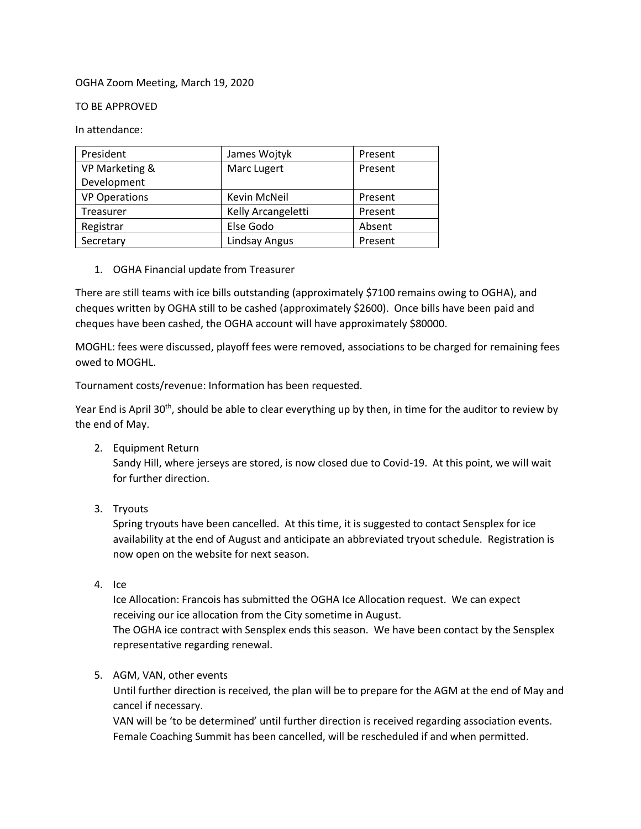## OGHA Zoom Meeting, March 19, 2020

## TO BE APPROVED

In attendance:

| President            | James Wojtyk       | Present |
|----------------------|--------------------|---------|
| VP Marketing &       | Marc Lugert        | Present |
| Development          |                    |         |
| <b>VP Operations</b> | Kevin McNeil       | Present |
| Treasurer            | Kelly Arcangeletti | Present |
| Registrar            | Else Godo          | Absent  |
| Secretary            | Lindsay Angus      | Present |

1. OGHA Financial update from Treasurer

There are still teams with ice bills outstanding (approximately \$7100 remains owing to OGHA), and cheques written by OGHA still to be cashed (approximately \$2600). Once bills have been paid and cheques have been cashed, the OGHA account will have approximately \$80000.

MOGHL: fees were discussed, playoff fees were removed, associations to be charged for remaining fees owed to MOGHL.

Tournament costs/revenue: Information has been requested.

Year End is April 30<sup>th</sup>, should be able to clear everything up by then, in time for the auditor to review by the end of May.

2. Equipment Return

Sandy Hill, where jerseys are stored, is now closed due to Covid-19. At this point, we will wait for further direction.

3. Tryouts

Spring tryouts have been cancelled. At this time, it is suggested to contact Sensplex for ice availability at the end of August and anticipate an abbreviated tryout schedule. Registration is now open on the website for next season.

4. Ice

Ice Allocation: Francois has submitted the OGHA Ice Allocation request. We can expect receiving our ice allocation from the City sometime in August. The OGHA ice contract with Sensplex ends this season. We have been contact by the Sensplex representative regarding renewal.

5. AGM, VAN, other events

Until further direction is received, the plan will be to prepare for the AGM at the end of May and cancel if necessary.

VAN will be 'to be determined' until further direction is received regarding association events. Female Coaching Summit has been cancelled, will be rescheduled if and when permitted.